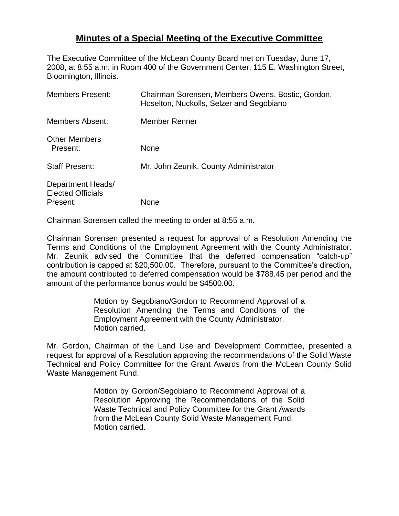## **Minutes of a Special Meeting of the Executive Committee**

The Executive Committee of the McLean County Board met on Tuesday, June 17, 2008, at 8:55 a.m. in Room 400 of the Government Center, 115 E. Washington Street, Bloomington, Illinois.

| Chairman Sorensen, Members Owens, Bostic, Gordon,<br>Hoselton, Nuckolls, Selzer and Segobiano |
|-----------------------------------------------------------------------------------------------|
| Member Renner                                                                                 |
| <b>None</b>                                                                                   |
| Mr. John Zeunik, County Administrator                                                         |
| <b>None</b>                                                                                   |
|                                                                                               |

Chairman Sorensen called the meeting to order at 8:55 a.m.

Chairman Sorensen presented a request for approval of a Resolution Amending the Terms and Conditions of the Employment Agreement with the County Administrator. Mr. Zeunik advised the Committee that the deferred compensation "catch-up" contribution is capped at \$20,500.00. Therefore, pursuant to the Committee's direction, the amount contributed to deferred compensation would be \$788.45 per period and the amount of the performance bonus would be \$4500.00.

> Motion by Segobiano/Gordon to Recommend Approval of a Resolution Amending the Terms and Conditions of the Employment Agreement with the County Administrator. Motion carried.

Mr. Gordon, Chairman of the Land Use and Development Committee, presented a request for approval of a Resolution approving the recommendations of the Solid Waste Technical and Policy Committee for the Grant Awards from the McLean County Solid Waste Management Fund.

> Motion by Gordon/Segobiano to Recommend Approval of a Resolution Approving the Recommendations of the Solid Waste Technical and Policy Committee for the Grant Awards from the McLean County Solid Waste Management Fund. Motion carried.